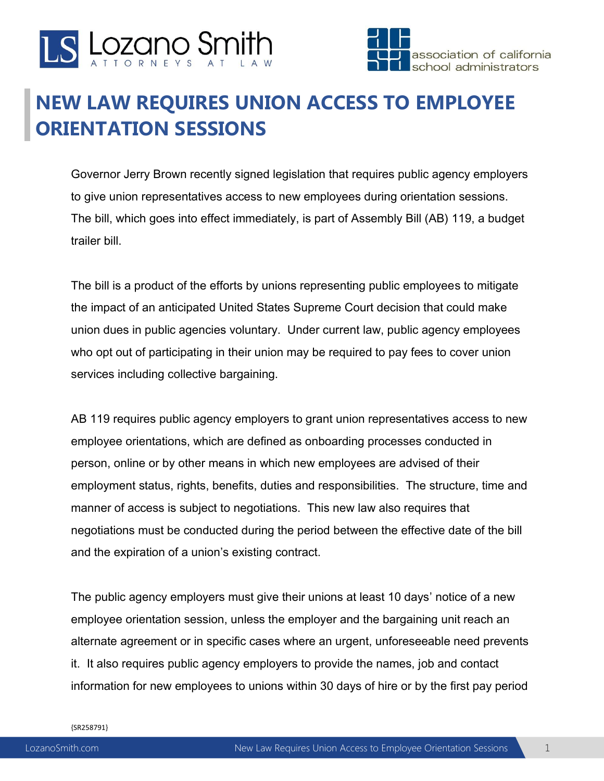



## **NEW LAW REQUIRES UNION ACCESS TO EMPLOYEE ORIENTATION SESSIONS**

Governor Jerry Brown recently signed legislation that requires public agency employers to give union representatives access to new employees during orientation sessions. The bill, which goes into effect immediately, is part of Assembly Bill (AB) 119, a budget trailer bill.

The bill is a product of the efforts by unions representing public employees to mitigate the impact of an anticipated United States Supreme Court decision that could make union dues in public agencies voluntary. Under current law, public agency employees who opt out of participating in their union may be required to pay fees to cover union services including collective bargaining.

AB 119 requires public agency employers to grant union representatives access to new employee orientations, which are defined as onboarding processes conducted in person, online or by other means in which new employees are advised of their employment status, rights, benefits, duties and responsibilities. The structure, time and manner of access is subject to negotiations. This new law also requires that negotiations must be conducted during the period between the effective date of the bill and the expiration of a union's existing contract.

The public agency employers must give their unions at least 10 days' notice of a new employee orientation session, unless the employer and the bargaining unit reach an alternate agreement or in specific cases where an urgent, unforeseeable need prevents it. It also requires public agency employers to provide the names, job and contact information for new employees to unions within 30 days of hire or by the first pay period

{SR258791}